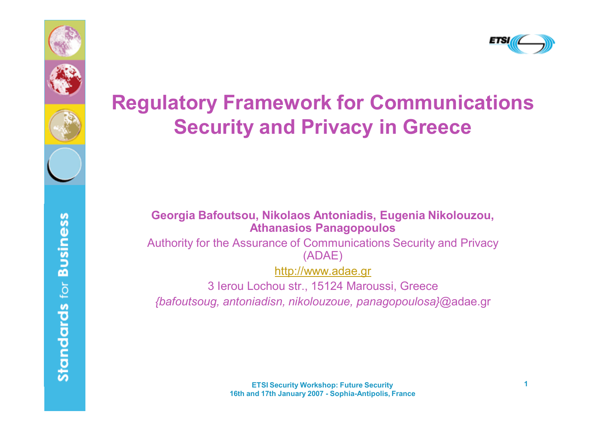

#### **Regulatory Framework for Communications Security and Privacy in Greece**

**Georgia Bafoutsou, Nikolaos Antoniadis, Eugenia Nikolouzou, Athanasios Panagopoulos**

Authority for the Assurance of Communications Security and Privacy (ADAE)

http://www.adae.gr

3 Ierou Lochou str., 15124 Maroussi, Greece *{bafoutsoug, antoniadisn, nikolouzoue, panagopoulosa}*@adae.gr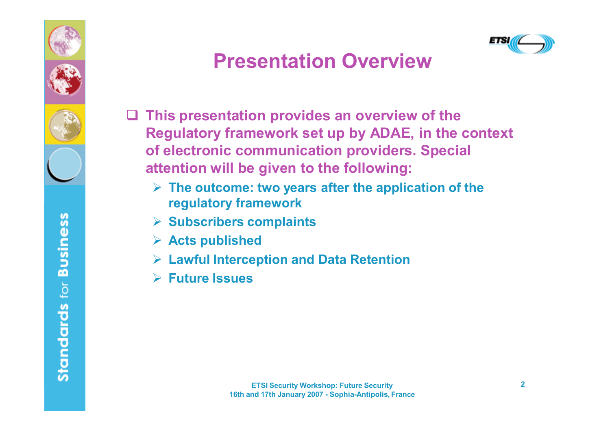



# **Presentation Overview**

- **This presentation provides an overview of the Regulatory framework set up by ADAE, in the context of electronic communication providers. Special attention will be given to the following:**
	- **The outcome: two years after the application of the regulatory framework**
	- **Subscribers complaints**
	- **Acts published**
	- **Lawful Interception and Data Retention**
	- **Future Issues**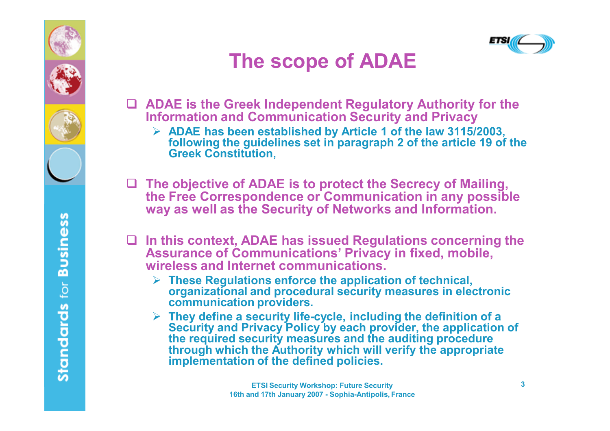



# **The scope of ADAE**

- **ADAE is the Greek Independent Regulatory Authority for the Information and Communication Security and Privacy**
	- **ADAE has been established by Article 1 of the law 3115/2003, following the guidelines set in paragraph 2 of the article 19 of the Greek Constitution,**
- **The objective of ADAE is to protect the Secrecy of Mailing, the Free Correspondence or Communication in any possible way as well as the Security of Networks and Information.**
- **In this context, ADAE has issued Regulations concerning the Assurance of Communications' Privacy in fixed, mobile, wireless and Internet communications.** 
	- **These Regulations enforce the application of technical, organizational and procedural security measures in electronic communication providers.**
	- **They define a security life-cycle, including the definition of a Security and Privacy Policy by each provider, the application of the required security measures and the auditing procedure through which the Authority which will verify the appropriate implementation of the defined policies.**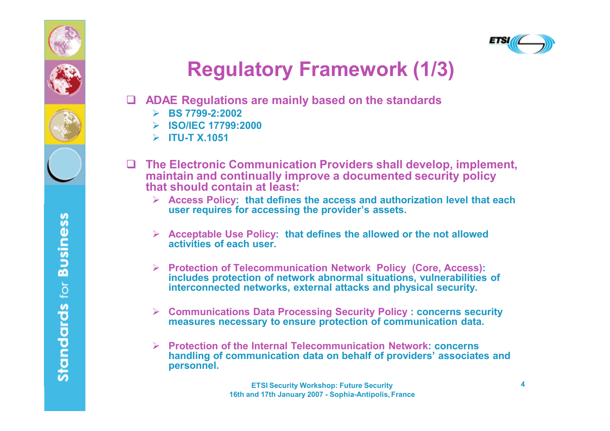





#### **Regulatory Framework (1/3)**

- **ADAE Regulations are mainly based on the standards**
	- **BS 7799-2:2002**
	- **ISO/IEC 17799:2000**
	- **ITU-T X.1051**
- **The Electronic Communication Providers shall develop, implement, maintain and continually improve a documented security policy that should contain at least:** 
	- **Access Policy: that defines the access and authorization level that each user requires for accessing the provider's assets.**
	- **Acceptable Use Policy: that defines the allowed or the not allowed activities of each user.**
	- **Protection of Telecommunication Network Policy (Core, Access): includes protection of network abnormal situations, vulnerabilities of interconnected networks, external attacks and physical security.**
	- **Communications Data Processing Security Policy : concerns security measures necessary to ensure protection of communication data.**
	- **Protection of the Internal Telecommunication Network: concerns handling of communication data on behalf of providers' associates and personnel.**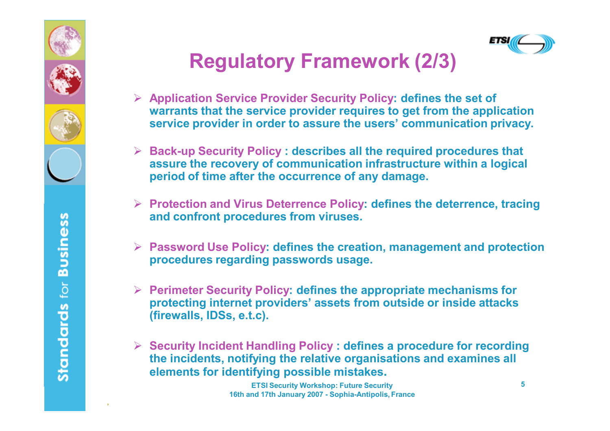

**,** 



# **Regulatory Framework (2/3)**

- **Application Service Provider Security Policy: defines the set of warrants that the service provider requires to get from the application service provider in order to assure the users' communication privacy.**
- **Back-up Security Policy : describes all the required procedures that assure the recovery of communication infrastructure within a logical period of time after the occurrence of any damage.**
- **Protection and Virus Deterrence Policy: defines the deterrence, tracing and confront procedures from viruses.**
- **Password Use Policy: defines the creation, management and protection procedures regarding passwords usage.**
- **Perimeter Security Policy: defines the appropriate mechanisms for protecting internet providers' assets from outside or inside attacks (firewalls, IDSs, e.t.c).**
- **Security Incident Handling Policy : defines a procedure for recording the incidents, notifying the relative organisations and examines all elements for identifying possible mistakes.**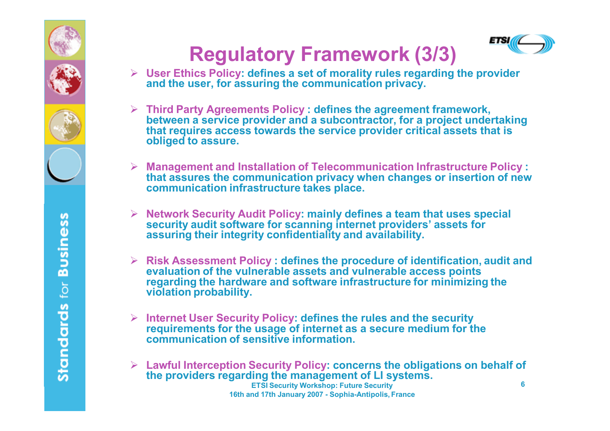



# **Regulatory Framework (3/3)**

- **User Ethics Policy: defines a set of morality rules regarding the provider and the user, for assuring the communication privacy.**
- **Third Party Agreements Policy : defines the agreement framework, between a service provider and a subcontractor, for a project undertaking that requires access towards the service provider critical assets that is obliged to assure.**
- **Management and Installation of Telecommunication Infrastructure Policy : that assures the communication privacy when changes or insertion of new communication infrastructure takes place.**
- **Network Security Audit Policy: mainly defines a team that uses special security audit software for scanning internet providers' assets for assuring their integrity confidentiality and availability.**
- **Risk Assessment Policy : defines the procedure of identification, audit and evaluation of the vulnerable assets and vulnerable access points regarding the hardware and software infrastructure for minimizing the violation probability.**
- **Internet User Security Policy: defines the rules and the security requirements for the usage of internet as a secure medium for the communication of sensitive information.**
- **ETSI Security Workshop: Future Security 16th and 17th January 2007 - Sophia-Antipolis, France 6 Lawful Interception Security Policy: concerns the obligations on behalf of the providers regarding the management of LI systems.**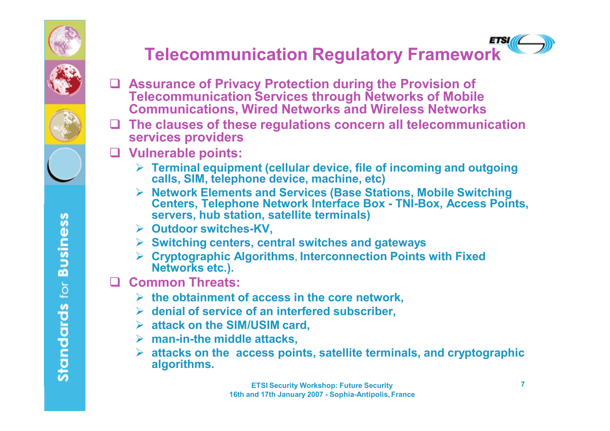

#### ETSI ( **Telecommunication Regulatory Framework**

- **Assurance of Privacy Protection during the Provision of Telecommunication Services through Networks of Mobile Communications, Wired Networks and Wireless Networks**
- **The clauses of these regulations concern all telecommunication services providers**
- **Vulnerable points:** 
	- **Terminal equipment (cellular device, file of incoming and outgoing calls, SIM, telephone device, machine, etc)**
	- **Network Elements and Services (Base Stations, Mobile Switching Centers, Telephone Network Interface Box - TNI-Box, Access Points, servers, hub station, satellite terminals)**
	- **Outdoor switches-KV,**
	- **Switching centers, central switches and gateways**
	- **Cryptographic Algorithms, Interconnection Points with Fixed Networks etc.).**
- **Common Threats:**
	- **the obtainment of access in the core network,**
	- **denial of service of an interfered subscriber,**
	- **attack on the SIM/USIM card,**
	- **man-in-the middle attacks,**
	- **attacks on the access points, satellite terminals, and cryptographic algorithms.**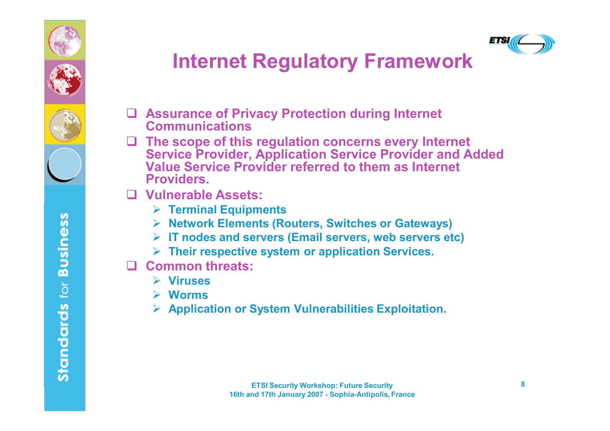



# **Internet Regulatory Framework**

- **Assurance of Privacy Protection during Internet Communications**
- **The scope of this regulation concerns every Internet Service Provider, Application Service Provider and Added Value Service Provider referred to them as Internet Providers.**
- **Vulnerable Assets:** 
	- **Terminal Equipments**
	- **Network Elements (Routers, Switches or Gateways)**
	- **IT nodes and servers (Email servers, web servers etc)**
	- **Their respective system or application Services.**
- **Common threats:** 
	- **Viruses**
	- **Worms**
	- **Application or System Vulnerabilities Exploitation.**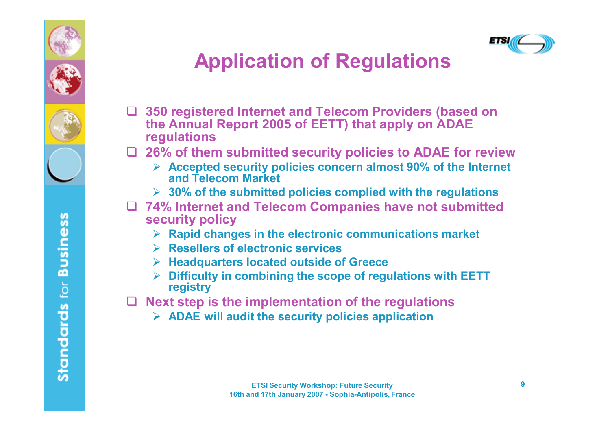



# **Application of Regulations**

- **350 registered Internet and Telecom Providers (based on the Annual Report 2005 of EETT) that apply on ADAE regulations**
- **26% of them submitted security policies to ADAE for review**
	- **Accepted security policies concern almost 90% of the Internet and Telecom Market**
	- **30% of the submitted policies complied with the regulations**
- **74% Internet and Telecom Companies have not submitted security policy**
	- **Rapid changes in the electronic communications market**
	- **Resellers of electronic services**
	- **Headquarters located outside of Greece**
	- **Difficulty in combining the scope of regulations with EETT registry**
- **Next step is the implementation of the regulations**
	- **ADAE will audit the security policies application**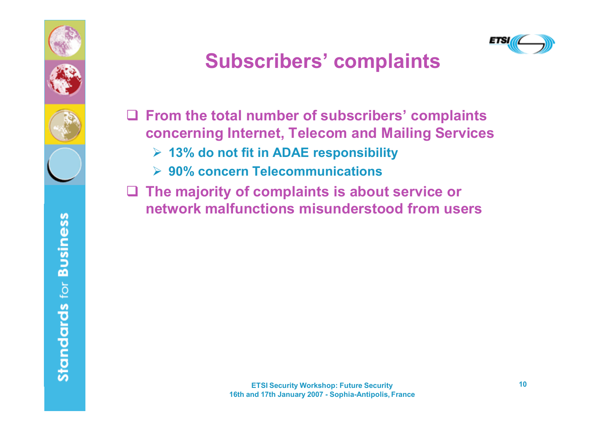



# **Subscribers' complaints**

- **From the total number of subscribers' complaints concerning Internet, Telecom and Mailing Services**
	- **13% do not fit in ADAE responsibility**
	- **90% concern Telecommunications**
- **The majority of complaints is about service or network malfunctions misunderstood from users**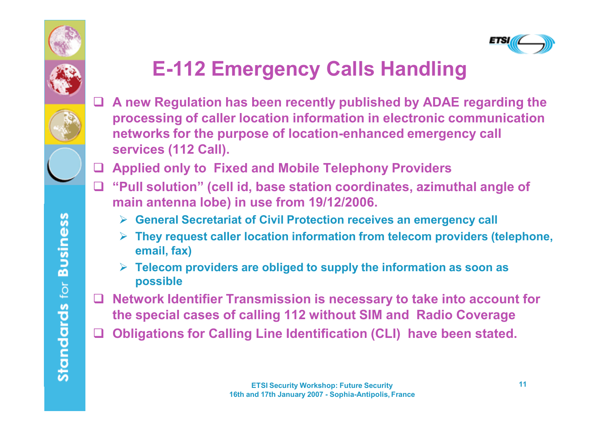

**11**

#### **E-112 Emergency Calls Handling**

- **A new Regulation has been recently published by ADAE regarding the processing of caller location information in electronic communication networks for the purpose of location-enhanced emergency call services (112 Call).**
- **Applied only to Fixed and Mobile Telephony Providers**
- **"Pull solution" (cell id, base station coordinates, azimuthal angle of main antenna lobe) in use from 19/12/2006.** 
	- **General Secretariat of Civil Protection receives an emergency call**
	- **They request caller location information from telecom providers (telephone, email, fax)**
	- **Telecom providers are obliged to supply the information as soon as possible**
- **Network Identifier Transmission is necessary to take into account for the special cases of calling 112 without SIM and Radio Coverage**
- **Obligations for Calling Line Identification (CLI) have been stated.**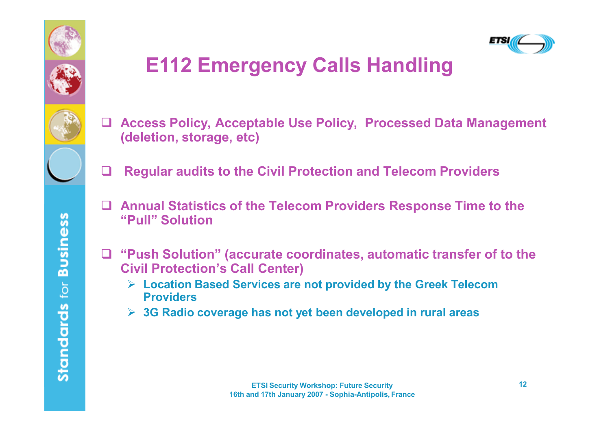



# **E112 Emergency Calls Handling**

- **Access Policy, Acceptable Use Policy, Processed Data Management (deletion, storage, etc)**
- **Regular audits to the Civil Protection and Telecom Providers**
- **Annual Statistics of the Telecom Providers Response Time to the "Pull" Solution**
- **"Push Solution" (accurate coordinates, automatic transfer of to the Civil Protection's Call Center)**
	- **Location Based Services are not provided by the Greek Telecom Providers**
	- **3G Radio coverage has not yet been developed in rural areas**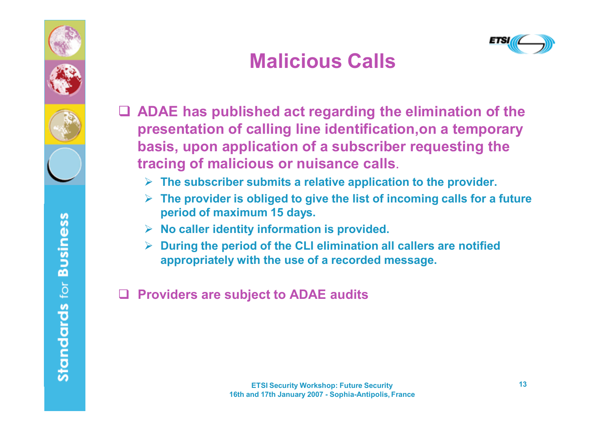



# **Malicious Calls**

- **ADAE has published act regarding the elimination of the presentation of calling line identification,on a temporary basis, upon application of a subscriber requesting the tracing of malicious or nuisance calls**.
	- **The subscriber submits a relative application to the provider.**
	- **The provider is obliged to give the list of incoming calls for a future period of maximum 15 days.**
	- **No caller identity information is provided.**
	- **During the period of the CLI elimination all callers are notified appropriately with the use of a recorded message.**

**Providers are subject to ADAE audits**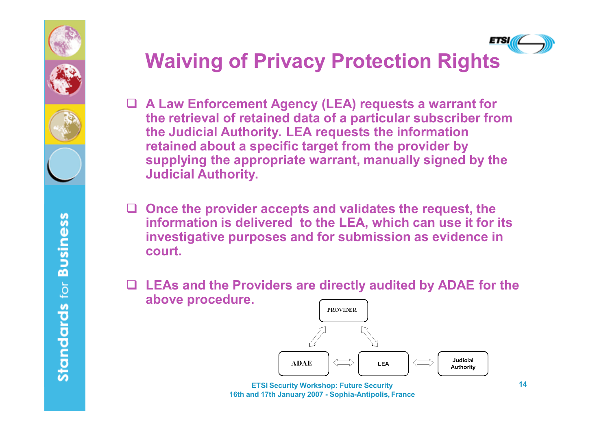

#### ETSI **Waiving of Privacy Protection Rights**

- **A Law Enforcement Agency (LEA) requests a warrant for the retrieval of retained data of a particular subscriber from the Judicial Authority. LEA requests the information retained about a specific target from the provider by supplying the appropriate warrant, manually signed by the Judicial Authority.**
- **Once the provider accepts and validates the request, the information is delivered to the LEA, which can use it for its investigative purposes and for submission as evidence in court.**
- **LEAs and the Providers are directly audited by ADAE for the above procedure.**



**ETSI Security Workshop: Future Security 16th and 17th January 2007 - Sophia-Antipolis, France**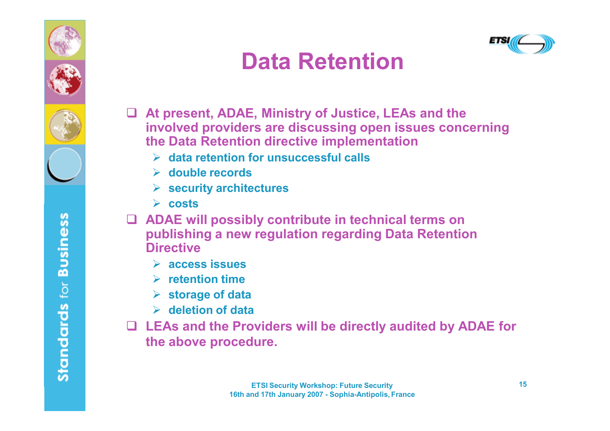



# **Data Retention**

- **At present, ADAE, Ministry of Justice, LEAs and the involved providers are discussing open issues concerning the Data Retention directive implementation**
	- **data retention for unsuccessful calls**
	- **double records**
	- **security architectures**
	- **costs**
- **ADAE will possibly contribute in technical terms on publishing a new regulation regarding Data Retention Directive**
	- **access issues**
	- **retention time**
	- **storage of data**
	- **deletion of data**
- **LEAs and the Providers will be directly audited by ADAE for the above procedure.**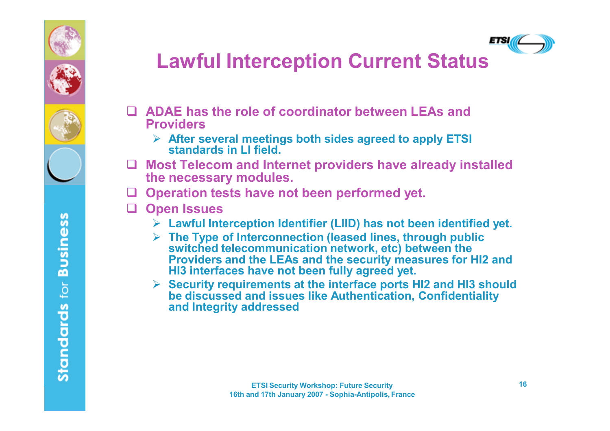



# **Lawful Interception Current Status**

- **ADAE has the role of coordinator between LEAs and Providers**
	- **After several meetings both sides agreed to apply ETSI standards in LI field.**
- **Most Telecom and Internet providers have already installed the necessary modules.**
- **Operation tests have not been performed yet.**
- **Open Issues**
	- **Lawful Interception Identifier (LIID) has not been identified yet.**
	- **The Type of Interconnection (leased lines, through public switched telecommunication network, etc) between the Providers and the LEAs and the security measures for HI2 and HI3 interfaces have not been fully agreed yet.**
	- **Security requirements at the interface ports HI2 and HI3 should be discussed and issues like Authentication, Confidentiality and Integrity addressed**